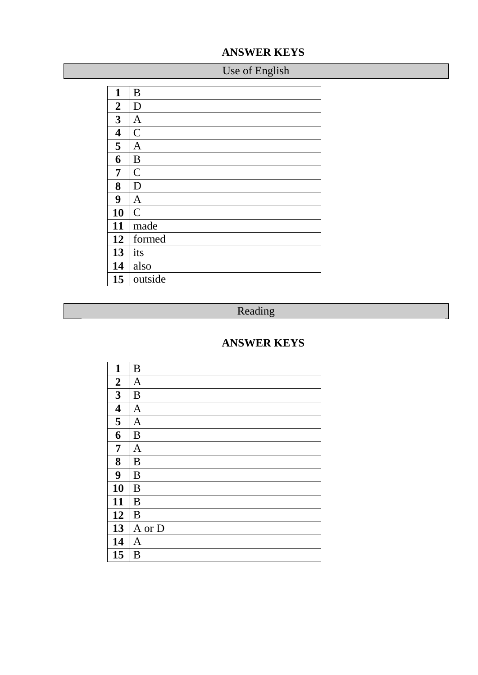### **ANSWER KEYS**

# Use of English

| 1                       | B              |
|-------------------------|----------------|
| $\boldsymbol{2}$        | D              |
| 3                       | $\mathbf{A}$   |
| $\overline{\mathbf{4}}$ | $\overline{C}$ |
| 5                       | $\mathbf{A}$   |
| 6                       | B              |
| 7                       | $\mathcal{C}$  |
| 8                       | D              |
| 9                       | $\mathbf{A}$   |
| 10                      | $\overline{C}$ |
| 11                      | made           |
| 12                      | formed         |
| 13                      | its            |
| 14                      | also           |
| 15                      | outside        |

## Reading

### **ANSWER KEYS**

| $\mathbf{1}$            | B              |
|-------------------------|----------------|
| $\overline{2}$          | $\mathbf{A}$   |
| 3                       | B              |
| $\overline{\mathbf{4}}$ | $\mathbf{A}$   |
| 5                       | $\overline{A}$ |
| 6                       | B              |
| $\overline{7}$          | $\overline{A}$ |
| 8                       | B              |
| 9                       | B              |
| 10                      | B              |
| 11                      | B              |
| 12                      | B              |
| 13                      | A or D         |
| 14                      | A              |
| 15                      | B              |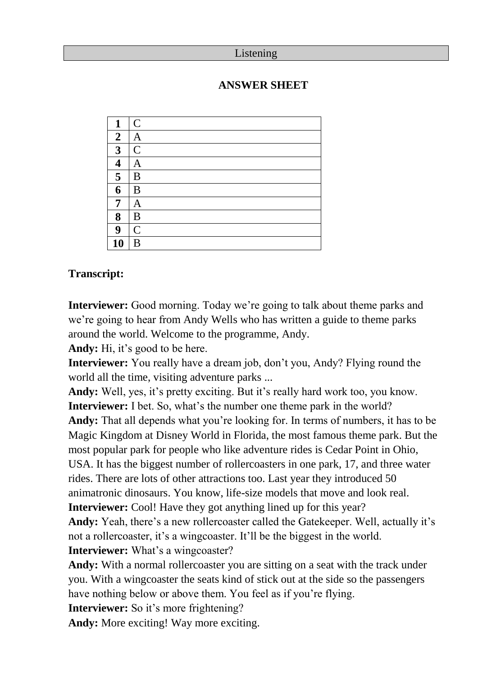#### Listening

#### **ANSWER SHEET**

| 1                | $\overline{C}$ |
|------------------|----------------|
| $\overline{2}$   | $\mathbf{A}$   |
| 3                | $\overline{C}$ |
| 4                | A              |
| 5                | B              |
| 6                | B              |
| 7                | A              |
| 8                | B              |
| $\boldsymbol{9}$ | $\mathcal{C}$  |
| 10               | B              |

#### **Transcript:**

**Interviewer:** Good morning. Today we're going to talk about theme parks and we're going to hear from Andy Wells who has written a guide to theme parks around the world. Welcome to the programme, Andy.

**Andy:** Hi, it's good to be here.

**Interviewer:** You really have a dream job, don't you, Andy? Flying round the world all the time, visiting adventure parks ...

**Andy:** Well, yes, it's pretty exciting. But it's really hard work too, you know. **Interviewer:** I bet. So, what's the number one theme park in the world?

**Andy:** That all depends what you're looking for. In terms of numbers, it has to be Magic Kingdom at Disney World in Florida, the most famous theme park. But the most popular park for people who like adventure rides is Cedar Point in Ohio, USA. It has the biggest number of rollercoasters in one park, 17, and three water rides. There are lots of other attractions too. Last year they introduced 50 animatronic dinosaurs. You know, life-size models that move and look real. **Interviewer:** Cool! Have they got anything lined up for this year?

**Andy:** Yeah, there's a new rollercoaster called the Gatekeeper. Well, actually it's not a rollercoaster, it's a wingcoaster. It'll be the biggest in the world.

**Interviewer:** What's a wingcoaster?

**Andy:** With a normal rollercoaster you are sitting on a seat with the track under you. With a wingcoaster the seats kind of stick out at the side so the passengers have nothing below or above them. You feel as if you're flying.

**Interviewer:** So it's more frightening?

**Andy:** More exciting! Way more exciting.